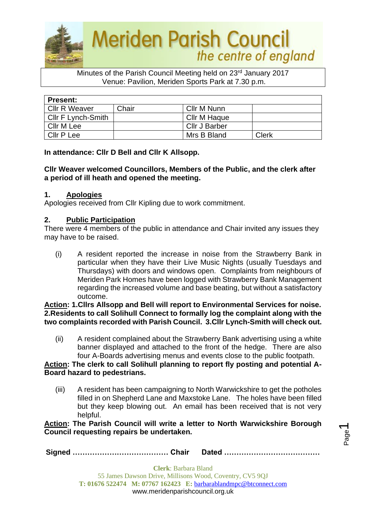

#### Minutes of the Parish Council Meeting held on 23rd January 2017 Venue: Pavilion, Meriden Sports Park at 7.30 p.m.

| <b>Present:</b>      |       |               |       |  |  |
|----------------------|-------|---------------|-------|--|--|
| <b>Cllr R Weaver</b> | Chair | Cllr M Nunn   |       |  |  |
| Cllr F Lynch-Smith   |       | Cllr M Haque  |       |  |  |
| Cllr M Lee           |       | Cllr J Barber |       |  |  |
| Cllr P Lee           |       | Mrs B Bland   | Clerk |  |  |

**In attendance: Cllr D Bell and Cllr K Allsopp.**

### **Cllr Weaver welcomed Councillors, Members of the Public, and the clerk after a period of ill heath and opened the meeting.**

### **1. Apologies**

Apologies received from Cllr Kipling due to work commitment.

### **2. Public Participation**

There were 4 members of the public in attendance and Chair invited any issues they may have to be raised.

(i) A resident reported the increase in noise from the Strawberry Bank in particular when they have their Live Music Nights (usually Tuesdays and Thursdays) with doors and windows open. Complaints from neighbours of Meriden Park Homes have been logged with Strawberry Bank Management regarding the increased volume and base beating, but without a satisfactory outcome.

#### **Action: 1.Cllrs Allsopp and Bell will report to Environmental Services for noise. 2.Residents to call Solihull Connect to formally log the complaint along with the two complaints recorded with Parish Council. 3.Cllr Lynch-Smith will check out.**

(ii) A resident complained about the Strawberry Bank advertising using a white banner displayed and attached to the front of the hedge. There are also four A-Boards advertising menus and events close to the public footpath.

#### **Action: The clerk to call Solihull planning to report fly posting and potential A-Board hazard to pedestrians.**

(iii) A resident has been campaigning to North Warwickshire to get the potholes filled in on Shepherd Lane and Maxstoke Lane. The holes have been filled but they keep blowing out. An email has been received that is not very helpful.

> Page  $\overline{\phantom{0}}$

**Action: The Parish Council will write a letter to North Warwickshire Borough Council requesting repairs be undertaken.**

**Signed ………………………………… Chair Dated …………………………………**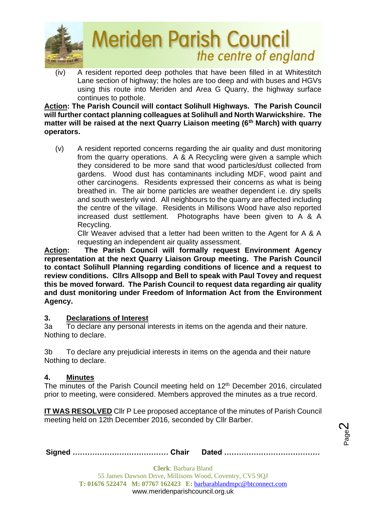

(iv) A resident reported deep potholes that have been filled in at Whitestitch Lane section of highway; the holes are too deep and with buses and HGVs using this route into Meriden and Area G Quarry, the highway surface continues to pothole.

**Action: The Parish Council will contact Solihull Highways. The Parish Council will further contact planning colleagues at Solihull and North Warwickshire. The matter will be raised at the next Quarry Liaison meeting (6th March) with quarry operators.** 

(v) A resident reported concerns regarding the air quality and dust monitoring from the quarry operations. A & A Recycling were given a sample which they considered to be more sand that wood particles/dust collected from gardens. Wood dust has contaminants including MDF, wood paint and other carcinogens. Residents expressed their concerns as what is being breathed in. The air borne particles are weather dependent i.e. dry spells and south westerly wind. All neighbours to the quarry are affected including the centre of the village. Residents in Millisons Wood have also reported increased dust settlement. Photographs have been given to A & A Recycling.

Cllr Weaver advised that a letter had been written to the Agent for A & A requesting an independent air quality assessment.

**Action: The Parish Council will formally request Environment Agency representation at the next Quarry Liaison Group meeting. The Parish Council to contact Solihull Planning regarding conditions of licence and a request to review conditions. Cllrs Allsopp and Bell to speak with Paul Tovey and request this be moved forward. The Parish Council to request data regarding air quality and dust monitoring under Freedom of Information Act from the Environment Agency.** 

# **3. Declarations of Interest**

3a To declare any personal interests in items on the agenda and their nature. Nothing to declare.

3b To declare any prejudicial interests in items on the agenda and their nature Nothing to declare.

# **4. Minutes**

The minutes of the Parish Council meeting held on 12<sup>th</sup> December 2016, circulated prior to meeting, were considered. Members approved the minutes as a true record.

**IT WAS RESOLVED** Cllr P Lee proposed acceptance of the minutes of Parish Council meeting held on 12th December 2016, seconded by Cllr Barber.

|--|--|--|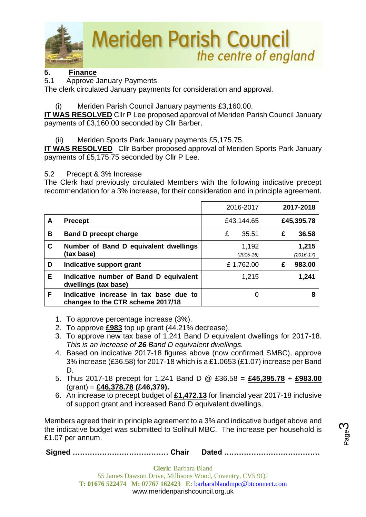

# **5. Finance**

5.1 Approve January Payments

The clerk circulated January payments for consideration and approval.

# (i) Meriden Parish Council January payments £3,160.00.

**IT WAS RESOLVED** Cllr P Lee proposed approval of Meriden Parish Council January payments of £3,160.00 seconded by Cllr Barber.

(ii) Meriden Sports Park January payments £5,175.75.

**IT WAS RESOLVED** Cllr Barber proposed approval of Meriden Sports Park January payments of £5,175.75 seconded by Cllr P Lee.

5.2 Precept & 3% Increase

The Clerk had previously circulated Members with the following indicative precept recommendation for a 3% increase, for their consideration and in principle agreement.

|   |                                                                             | 2016-2017              | 2017-2018              |
|---|-----------------------------------------------------------------------------|------------------------|------------------------|
| A | <b>Precept</b>                                                              | £43,144.65             | £45,395.78             |
| B | <b>Band D precept charge</b>                                                | £<br>35.51             | 36.58<br>£             |
| C | Number of Band D equivalent dwellings<br>(tax base)                         | 1,192<br>$(2015 - 16)$ | 1,215<br>$(2016 - 17)$ |
| D | Indicative support grant                                                    | £1,762.00              | 983.00<br>£            |
| Е | Indicative number of Band D equivalent<br>dwellings (tax base)              | 1,215                  | 1,241                  |
| F | Indicative increase in tax base due to<br>changes to the CTR scheme 2017/18 | 0                      |                        |

- 1. To approve percentage increase (3%).
- 2. To approve **£983** top up grant (44.21% decrease).
- 3. To approve new tax base of 1,241 Band D equivalent dwellings for 2017-18. *This is an increase of 26 Band D equivalent dwellings.*
- 4. Based on indicative 2017-18 figures above (now confirmed SMBC), approve 3% increase (£36.58) for 2017-18 which is a £1.0653 (£1.07) increase per Band D.
- 5. Thus 2017-18 precept for 1,241 Band D @ £36.58 = **£45,395.78** + **£983.00** (grant) = **£46,378.78 (£46,379).**
- 6. An increase to precept budget of **£1,472.13** for financial year 2017-18 inclusive of support grant and increased Band D equivalent dwellings.

Members agreed their in principle agreement to a 3% and indicative budget above and the indicative budget was submitted to Solihull MBC. The increase per household is £1.07 per annum.

**Signed ………………………………… Chair Dated …………………………………**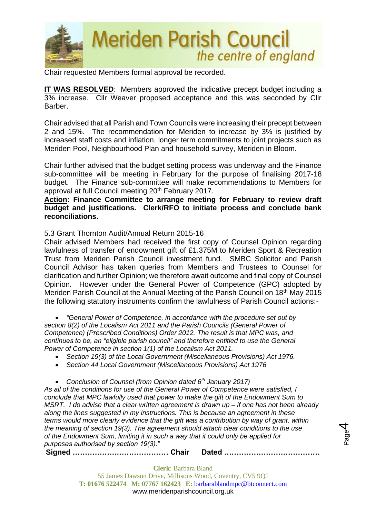

Chair requested Members formal approval be recorded.

**IT WAS RESOLVED**: Members approved the indicative precept budget including a 3% increase. Cllr Weaver proposed acceptance and this was seconded by Cllr **Barber** 

Chair advised that all Parish and Town Councils were increasing their precept between 2 and 15%. The recommendation for Meriden to increase by 3% is justified by increased staff costs and inflation, longer term commitments to joint projects such as Meriden Pool, Neighbourhood Plan and household survey, Meriden in Bloom.

Chair further advised that the budget setting process was underway and the Finance sub-committee will be meeting in February for the purpose of finalising 2017-18 budget. The Finance sub-committee will make recommendations to Members for approval at full Council meeting 20<sup>th</sup> February 2017.

#### **Action: Finance Committee to arrange meeting for February to review draft budget and justifications. Clerk/RFO to initiate process and conclude bank reconciliations.**

5.3 Grant Thornton Audit/Annual Return 2015-16

Chair advised Members had received the first copy of Counsel Opinion regarding lawfulness of transfer of endowment gift of £1.375M to Meriden Sport & Recreation Trust from Meriden Parish Council investment fund. SMBC Solicitor and Parish Council Advisor has taken queries from Members and Trustees to Counsel for clarification and further Opinion; we therefore await outcome and final copy of Counsel Opinion. However under the General Power of Competence (GPC) adopted by Meriden Parish Council at the Annual Meeting of the Parish Council on 18<sup>th</sup> May 2015 the following statutory instruments confirm the lawfulness of Parish Council actions:-

• *"General Power of Competence, in accordance with the procedure set out by section 8(2) of the Localism Act 2011 and the Parish Councils (General Power of Competence) (Prescribed Conditions) Order 2012. The result is that MPC was, and continues to be, an "eligible parish council" and therefore entitled to use the General Power of Competence in section 1(1) of the Localism Act 2011.*

- *Section 19(3) of the Local Government (Miscellaneous Provisions) Act 1976.*
- *Section 44 Local Government (Miscellaneous Provisions) Act 1976*
- *Conclusion of Counsel (from Opinion dated 6th January 2017)*

*As all of the conditions for use of the General Power of Competence were satisfied, I conclude that MPC lawfully used that power to make the gift of the Endowment Sum to MSRT. I do advise that a clear written agreement is drawn up – if one has not been already along the lines suggested in my instructions. This is because an agreement in these terms would more clearly evidence that the gift was a contribution by way of grant, within the meaning of section 19(3). The agreement should attach clear conditions to the use of the Endowment Sum, limiting it in such a way that it could only be applied for purposes authorised by section 19(3)."*

Page 4

**Signed ………………………………… Chair Dated …………………………………**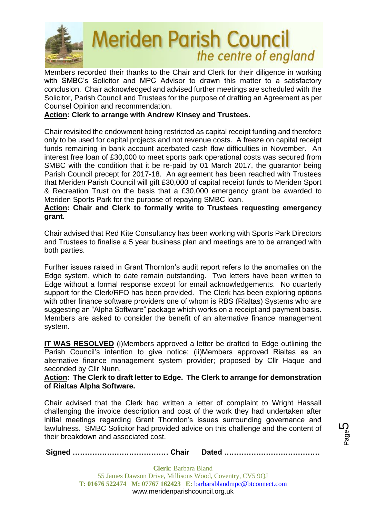

Members recorded their thanks to the Chair and Clerk for their diligence in working with SMBC's Solicitor and MPC Advisor to drawn this matter to a satisfactory conclusion. Chair acknowledged and advised further meetings are scheduled with the Solicitor, Parish Council and Trustees for the purpose of drafting an Agreement as per Counsel Opinion and recommendation.

# **Action: Clerk to arrange with Andrew Kinsey and Trustees.**

Chair revisited the endowment being restricted as capital receipt funding and therefore only to be used for capital projects and not revenue costs. A freeze on capital receipt funds remaining in bank account acerbated cash flow difficulties in November. An interest free loan of £30,000 to meet sports park operational costs was secured from SMBC with the condition that it be re-paid by 01 March 2017, the guarantor being Parish Council precept for 2017-18. An agreement has been reached with Trustees that Meriden Parish Council will gift £30,000 of capital receipt funds to Meriden Sport & Recreation Trust on the basis that a £30,000 emergency grant be awarded to Meriden Sports Park for the purpose of repaying SMBC loan.

#### **Action: Chair and Clerk to formally write to Trustees requesting emergency grant.**

Chair advised that Red Kite Consultancy has been working with Sports Park Directors and Trustees to finalise a 5 year business plan and meetings are to be arranged with both parties.

Further issues raised in Grant Thornton's audit report refers to the anomalies on the Edge system, which to date remain outstanding. Two letters have been written to Edge without a formal response except for email acknowledgements. No quarterly support for the Clerk/RFO has been provided. The Clerk has been exploring options with other finance software providers one of whom is RBS (Rialtas) Systems who are suggesting an "Alpha Software" package which works on a receipt and payment basis. Members are asked to consider the benefit of an alternative finance management system.

**IT WAS RESOLVED** (i)Members approved a letter be drafted to Edge outlining the Parish Council's intention to give notice; (ii)Members approved Rialtas as an alternative finance management system provider; proposed by Cllr Haque and seconded by Cllr Nunn.

#### **Action: The Clerk to draft letter to Edge. The Clerk to arrange for demonstration of Rialtas Alpha Software.**

Chair advised that the Clerk had written a letter of complaint to Wright Hassall challenging the invoice description and cost of the work they had undertaken after initial meetings regarding Grant Thornton's issues surrounding governance and lawfulness. SMBC Solicitor had provided advice on this challenge and the content of their breakdown and associated cost.

**Signed ………………………………… Chair Dated …………………………………**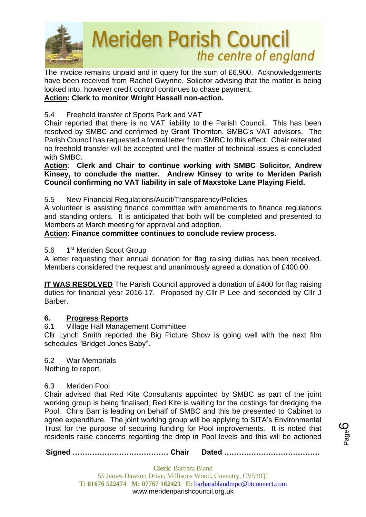

The invoice remains unpaid and in query for the sum of £6,900. Acknowledgements have been received from Rachel Gwynne, Solicitor advising that the matter is being looked into, however credit control continues to chase payment.

# **Action: Clerk to monitor Wright Hassall non-action.**

# 5.4 Freehold transfer of Sports Park and VAT

Chair reported that there is no VAT liability to the Parish Council. This has been resolved by SMBC and confirmed by Grant Thornton, SMBC's VAT advisors. The Parish Council has requested a formal letter from SMBC to this effect. Chair reiterated no freehold transfer will be accepted until the matter of technical issues is concluded with SMBC.

### **Action**: **Clerk and Chair to continue working with SMBC Solicitor, Andrew Kinsey, to conclude the matter. Andrew Kinsey to write to Meriden Parish Council confirming no VAT liability in sale of Maxstoke Lane Playing Field.**

# 5.5 New Financial Regulations/Audit/Transparency/Policies

A volunteer is assisting finance committee with amendments to finance regulations and standing orders. It is anticipated that both will be completed and presented to Members at March meeting for approval and adoption.

# **Action: Finance committee continues to conclude review process.**

#### $5.6$ 1<sup>st</sup> Meriden Scout Group

A letter requesting their annual donation for flag raising duties has been received. Members considered the request and unanimously agreed a donation of £400.00.

**IT WAS RESOLVED** The Parish Council approved a donation of £400 for flag raising duties for financial year 2016-17. Proposed by Cllr P Lee and seconded by Cllr J Barber.

# **6. Progress Reports**

# 6.1 Village Hall Management Committee

Cllr Lynch Smith reported the Big Picture Show is going well with the next film schedules "Bridget Jones Baby".

#### 6.2 War Memorials

Nothing to report.

#### 6.3 Meriden Pool

Chair advised that Red Kite Consultants appointed by SMBC as part of the joint working group is being finalised; Red Kite is waiting for the costings for dredging the Pool. Chris Barr is leading on behalf of SMBC and this be presented to Cabinet to agree expenditure. The joint working group will be applying to SITA's Environmental Trust for the purpose of securing funding for Pool improvements. It is noted that residents raise concerns regarding the drop in Pool levels and this will be actioned

**Signed ………………………………… Chair Dated …………………………………**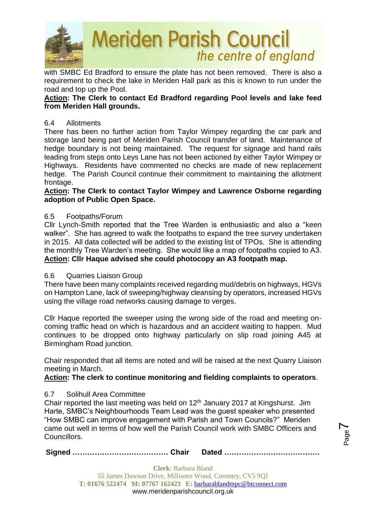

with SMBC Ed Bradford to ensure the plate has not been removed. There is also a requirement to check the lake in Meriden Hall park as this is known to run under the road and top up the Pool.

### **Action: The Clerk to contact Ed Bradford regarding Pool levels and lake feed from Meriden Hall grounds.**

#### 6.4 Allotments

There has been no further action from Taylor Wimpey regarding the car park and storage land being part of Meriden Parish Council transfer of land. Maintenance of hedge boundary is not being maintained. The request for signage and hand rails leading from steps onto Leys Lane has not been actioned by either Taylor Wimpey or Highways. Residents have commented no checks are made of new replacement hedge. The Parish Council continue their commitment to maintaining the allotment frontage.

## **Action: The Clerk to contact Taylor Wimpey and Lawrence Osborne regarding adoption of Public Open Space.**

### 6.5 Footpaths/Forum

Cllr Lynch-Smith reported that the Tree Warden is enthusiastic and also a "keen walker". She has agreed to walk the footpaths to expand the tree survey undertaken in 2015. All data collected will be added to the existing list of TPOs. She is attending the monthly Tree Warden's meeting. She would like a map of footpaths copied to A3. **Action: Cllr Haque advised she could photocopy an A3 footpath map.**

#### 6.6 Quarries Liaison Group

There have been many complaints received regarding mud/debris on highways, HGVs on Hampton Lane, lack of sweeping/highway cleansing by operators, increased HGVs using the village road networks causing damage to verges.

Cllr Haque reported the sweeper using the wrong side of the road and meeting oncoming traffic head on which is hazardous and an accident waiting to happen. Mud continues to be dropped onto highway particularly on slip road joining A45 at Birmingham Road junction.

Chair responded that all items are noted and will be raised at the next Quarry Liaison meeting in March.

# **Action: The clerk to continue monitoring and fielding complaints to operators**.

# 6.7 Solihull Area Committee

Chair reported the last meeting was held on 12th January 2017 at Kingshurst. Jim Harte, SMBC's Neighbourhoods Team Lead was the guest speaker who presented "How SMBC can improve engagement with Parish and Town Councils?" Meriden came out well in terms of how well the Parish Council work with SMBC Officers and Councillors.

**Signed ………………………………… Chair Dated …………………………………**

Page  $\blacktriangleright$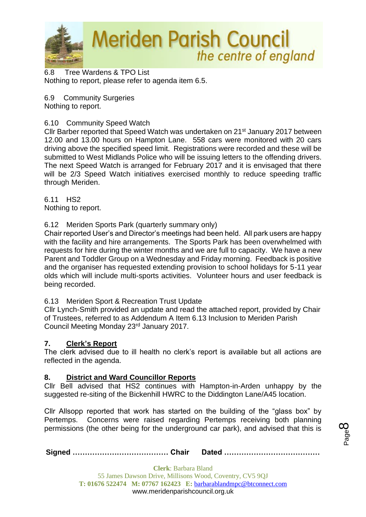

6.8 Tree Wardens & TPO List Nothing to report, please refer to agenda item 6.5.

6.9 Community Surgeries Nothing to report.

## 6.10 Community Speed Watch

Cllr Barber reported that Speed Watch was undertaken on 21<sup>st</sup> January 2017 between 12.00 and 13.00 hours on Hampton Lane. 558 cars were monitored with 20 cars driving above the specified speed limit. Registrations were recorded and these will be submitted to West Midlands Police who will be issuing letters to the offending drivers. The next Speed Watch is arranged for February 2017 and it is envisaged that there will be 2/3 Speed Watch initiatives exercised monthly to reduce speeding traffic through Meriden.

6.11 HS2 Nothing to report.

### 6.12 Meriden Sports Park (quarterly summary only)

Chair reported User's and Director's meetings had been held. All park users are happy with the facility and hire arrangements. The Sports Park has been overwhelmed with requests for hire during the winter months and we are full to capacity. We have a new Parent and Toddler Group on a Wednesday and Friday morning. Feedback is positive and the organiser has requested extending provision to school holidays for 5-11 year olds which will include multi-sports activities. Volunteer hours and user feedback is being recorded.

#### 6.13 Meriden Sport & Recreation Trust Update

Cllr Lynch-Smith provided an update and read the attached report, provided by Chair of Trustees, referred to as Addendum A Item 6.13 Inclusion to Meriden Parish Council Meeting Monday 23rd January 2017.

#### **7. Clerk's Report**

The clerk advised due to ill health no clerk's report is available but all actions are reflected in the agenda.

#### **8. District and Ward Councillor Reports**

Cllr Bell advised that HS2 continues with Hampton-in-Arden unhappy by the suggested re-siting of the Bickenhill HWRC to the Diddington Lane/A45 location.

Cllr Allsopp reported that work has started on the building of the "glass box" by Pertemps. Concerns were raised regarding Pertemps receiving both planning permissions (the other being for the underground car park), and advised that this is

Page  $\infty$ 

**Signed ………………………………… Chair Dated …………………………………**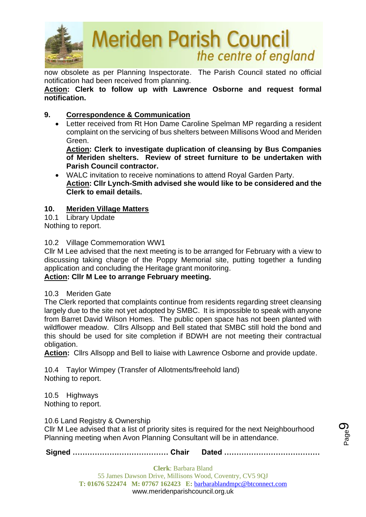

now obsolete as per Planning Inspectorate. The Parish Council stated no official notification had been received from planning.

**Action: Clerk to follow up with Lawrence Osborne and request formal notification.**

# **9. Correspondence & Communication**

• Letter received from Rt Hon Dame Caroline Spelman MP regarding a resident complaint on the servicing of bus shelters between Millisons Wood and Meriden Green.

**Action: Clerk to investigate duplication of cleansing by Bus Companies of Meriden shelters. Review of street furniture to be undertaken with Parish Council contractor.**

• WALC invitation to receive nominations to attend Royal Garden Party. **Action: Cllr Lynch-Smith advised she would like to be considered and the Clerk to email details.**

### **10. Meriden Village Matters**

10.1 Library Update Nothing to report.

#### 10.2 Village Commemoration WW1

Cllr M Lee advised that the next meeting is to be arranged for February with a view to discussing taking charge of the Poppy Memorial site, putting together a funding application and concluding the Heritage grant monitoring.

# **Action: Cllr M Lee to arrange February meeting.**

#### 10.3 Meriden Gate

The Clerk reported that complaints continue from residents regarding street cleansing largely due to the site not yet adopted by SMBC. It is impossible to speak with anyone from Barret David Wilson Homes. The public open space has not been planted with wildflower meadow. Cllrs Allsopp and Bell stated that SMBC still hold the bond and this should be used for site completion if BDWH are not meeting their contractual obligation.

**Action:** Cllrs Allsopp and Bell to liaise with Lawrence Osborne and provide update.

10.4 Taylor Wimpey (Transfer of Allotments/freehold land) Nothing to report.

10.5 Highways Nothing to report.

10.6 Land Registry & Ownership

Cllr M Lee advised that a list of priority sites is required for the next Neighbourhood Planning meeting when Avon Planning Consultant will be in attendance.

**Signed ………………………………… Chair Dated …………………………………**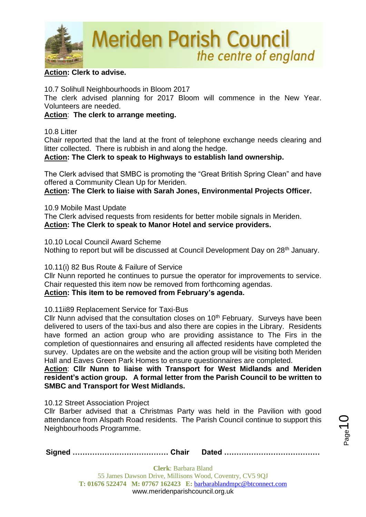

#### **Action: Clerk to advise.**

10.7 Solihull Neighbourhoods in Bloom 2017

The clerk advised planning for 2017 Bloom will commence in the New Year. Volunteers are needed.

### **Action**: **The clerk to arrange meeting.**

10.8 Litter

Chair reported that the land at the front of telephone exchange needs clearing and litter collected. There is rubbish in and along the hedge.

**Action: The Clerk to speak to Highways to establish land ownership.**

The Clerk advised that SMBC is promoting the "Great British Spring Clean" and have offered a Community Clean Up for Meriden.

**Action: The Clerk to liaise with Sarah Jones, Environmental Projects Officer.**

10.9 Mobile Mast Update

The Clerk advised requests from residents for better mobile signals in Meriden. **Action: The Clerk to speak to Manor Hotel and service providers.**

10.10 Local Council Award Scheme

Nothing to report but will be discussed at Council Development Day on 28<sup>th</sup> January.

10.11(i) 82 Bus Route & Failure of Service

Cllr Nunn reported he continues to pursue the operator for improvements to service. Chair requested this item now be removed from forthcoming agendas.

**Action: This item to be removed from February's agenda.**

10.11ii89 Replacement Service for Taxi-Bus

Cllr Nunn advised that the consultation closes on  $10<sup>th</sup>$  February. Surveys have been delivered to users of the taxi-bus and also there are copies in the Library. Residents have formed an action group who are providing assistance to The Firs in the completion of questionnaires and ensuring all affected residents have completed the survey. Updates are on the website and the action group will be visiting both Meriden Hall and Eaves Green Park Homes to ensure questionnaires are completed.

**Action**: **Cllr Nunn to liaise with Transport for West Midlands and Meriden resident's action group. A formal letter from the Parish Council to be written to SMBC and Transport for West Midlands.**

10.12 Street Association Project

Cllr Barber advised that a Christmas Party was held in the Pavilion with good attendance from Alspath Road residents. The Parish Council continue to support this Neighbourhoods Programme.

|--|--|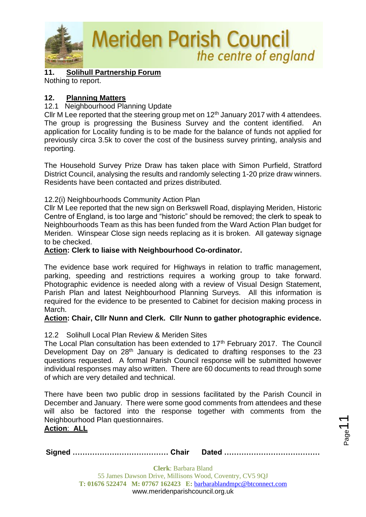

**11. Solihull Partnership Forum**

Nothing to report.

#### **12. Planning Matters**

12.1 Neighbourhood Planning Update

Cllr M Lee reported that the steering group met on  $12<sup>th</sup>$  January 2017 with 4 attendees. The group is progressing the Business Survey and the content identified. An application for Locality funding is to be made for the balance of funds not applied for previously circa 3.5k to cover the cost of the business survey printing, analysis and reporting.

The Household Survey Prize Draw has taken place with Simon Purfield, Stratford District Council, analysing the results and randomly selecting 1-20 prize draw winners. Residents have been contacted and prizes distributed.

#### 12.2(i) Neighbourhoods Community Action Plan

Cllr M Lee reported that the new sign on Berkswell Road, displaying Meriden, Historic Centre of England, is too large and "historic" should be removed; the clerk to speak to Neighbourhoods Team as this has been funded from the Ward Action Plan budget for Meriden. Winspear Close sign needs replacing as it is broken. All gateway signage to be checked.

#### **Action: Clerk to liaise with Neighbourhood Co-ordinator.**

The evidence base work required for Highways in relation to traffic management, parking, speeding and restrictions requires a working group to take forward. Photographic evidence is needed along with a review of Visual Design Statement, Parish Plan and latest Neighbourhood Planning Surveys. All this information is required for the evidence to be presented to Cabinet for decision making process in March.

#### **Action: Chair, Cllr Nunn and Clerk. Cllr Nunn to gather photographic evidence.**

#### 12.2 Solihull Local Plan Review & Meriden Sites

The Local Plan consultation has been extended to 17<sup>th</sup> February 2017. The Council Development Day on 28<sup>th</sup> January is dedicated to drafting responses to the 23 questions requested. A formal Parish Council response will be submitted however individual responses may also written. There are 60 documents to read through some of which are very detailed and technical.

There have been two public drop in sessions facilitated by the Parish Council in December and January. There were some good comments from attendees and these will also be factored into the response together with comments from the Neighbourhood Plan questionnaires.

#### **Action**: **ALL**

**Signed ………………………………… Chair Dated …………………………………**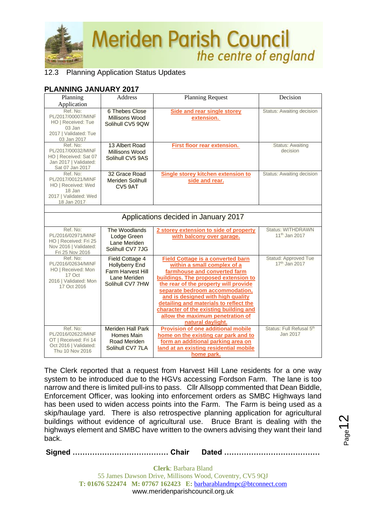

# 12.3 Planning Application Status Updates

## **PLANNING JANUARY 2017**

| Planning                                                                                               | <b>Address</b>                                                                                                  | <b>Planning Request</b>                                                                                                                                                                                                                                                                                                                                                                                       | Decision                                              |  |  |
|--------------------------------------------------------------------------------------------------------|-----------------------------------------------------------------------------------------------------------------|---------------------------------------------------------------------------------------------------------------------------------------------------------------------------------------------------------------------------------------------------------------------------------------------------------------------------------------------------------------------------------------------------------------|-------------------------------------------------------|--|--|
| Application                                                                                            |                                                                                                                 |                                                                                                                                                                                                                                                                                                                                                                                                               |                                                       |  |  |
| Ref. No:<br>PL/2017/00007/MINF<br>HO   Received: Tue                                                   | <b>6 Thebes Close</b><br>Millisons Wood<br>Solihull CV5 9QW                                                     | Side and rear single storey<br>extension.                                                                                                                                                                                                                                                                                                                                                                     | Status: Awaiting decision                             |  |  |
| 03 Jan<br>2017   Validated: Tue<br>03 Jan 2017                                                         |                                                                                                                 |                                                                                                                                                                                                                                                                                                                                                                                                               |                                                       |  |  |
| Ref. No:<br>PL/2017/00032/MINF<br>HO   Received: Sat 07<br>Jan 2017   Validated:<br>Sat 07 Jan 2017    | 13 Albert Road<br>Millisons Wood<br>Solihull CV5 9AS                                                            | <b>First floor rear extension.</b>                                                                                                                                                                                                                                                                                                                                                                            | <b>Status: Awaiting</b><br>decision                   |  |  |
| Ref. No:<br>PL/2017/00121/MINF<br>HO   Received: Wed<br>18 Jan<br>2017   Validated: Wed<br>18 Jan 2017 | 32 Grace Road<br><b>Meriden Solihull</b><br>CV <sub>5</sub> 9AT                                                 | <b>Single storey kitchen extension to</b><br>side and rear.                                                                                                                                                                                                                                                                                                                                                   | Status: Awaiting decision                             |  |  |
|                                                                                                        |                                                                                                                 |                                                                                                                                                                                                                                                                                                                                                                                                               |                                                       |  |  |
|                                                                                                        | Applications decided in January 2017                                                                            |                                                                                                                                                                                                                                                                                                                                                                                                               |                                                       |  |  |
| Ref. No:<br>PL/2016/02971/MINF<br>HO   Received: Fri 25<br>Nov 2016   Validated:<br>Fri 25 Nov 2016    | The Woodlands<br><b>Lodge Green</b><br><b>Lane Meriden</b><br>Solihull CV7 7JG                                  | 2 storey extension to side of property<br>with balcony over garage.                                                                                                                                                                                                                                                                                                                                           | <b>Status: WITHDRAWN</b><br>11 <sup>th</sup> Jan 2017 |  |  |
| Ref. No:<br>PL/2016/02634/MINF<br>HO   Received: Mon<br>17 Oct<br>2016   Validated: Mon<br>17 Oct 2016 | <b>Field Cottage 4</b><br><b>Hollyberry End</b><br><b>Farm Harvest Hill</b><br>Lane Meriden<br>Solihull CV7 7HW | <b>Field Cottage is a converted barn</b><br>within a small complex of a<br>farmhouse and converted farm<br>buildings. The proposed extension to<br>the rear of the property will provide<br>separate bedroom accommodation.<br>and is designed with high quality<br>detailing and materials to reflect the<br>character of the existing building and<br>allow the maximum penetration of<br>natural daylight. | Statud: Approved Tue<br>17th Jan 2017                 |  |  |
| Ref. No:<br>PL/2016/02622/MINF<br>OT   Received: Fri 14<br>Oct 2016   Validated:<br>Thu 10 Nov 2016    | <b>Meriden Hall Park</b><br>Homes Main<br><b>Road Meriden</b><br>Solihull CV7 7LA                               | <b>Provision of one additional mobile</b><br>home on the existing car park and to<br>form an additional parking area on<br>land at an existing residential mobile<br>home park.                                                                                                                                                                                                                               | Status: Full Refusal 5th<br>Jan 2017                  |  |  |

The Clerk reported that a request from Harvest Hill Lane residents for a one way system to be introduced due to the HGVs accessing Fordson Farm. The lane is too narrow and there is limited pull-ins to pass. Cllr Allsopp commented that Dean Biddle, Enforcement Officer, was looking into enforcement orders as SMBC Highways land has been used to widen access points into the Farm. The Farm is being used as a skip/haulage yard. There is also retrospective planning application for agricultural buildings without evidence of agricultural use. Bruce Brant is dealing with the highways element and SMBC have written to the owners advising they want their land back.

**Signed ………………………………… Chair Dated …………………………………**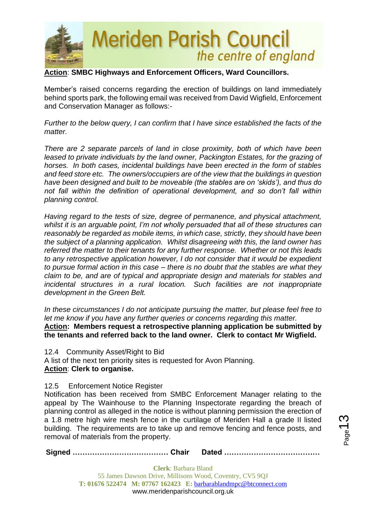

## **Action**: **SMBC Highways and Enforcement Officers, Ward Councillors.**

Member's raised concerns regarding the erection of buildings on land immediately behind sports park, the following email was received from David Wigfield, Enforcement and Conservation Manager as follows:-

*Further to the below query, I can confirm that I have since established the facts of the matter.*

*There are 2 separate parcels of land in close proximity, both of which have been leased to private individuals by the land owner, Packington Estates, for the grazing of horses. In both cases, incidental buildings have been erected in the form of stables and feed store etc. The owners/occupiers are of the view that the buildings in question have been designed and built to be moveable (the stables are on 'skids'), and thus do not fall within the definition of operational development, and so don't fall within planning control.* 

*Having regard to the tests of size, degree of permanence, and physical attachment, whilst it is an arguable point, I'm not wholly persuaded that all of these structures can reasonably be regarded as mobile items, in which case, strictly, they should have been the subject of a planning application. Whilst disagreeing with this, the land owner has referred the matter to their tenants for any further response. Whether or not this leads to any retrospective application however, I do not consider that it would be expedient to pursue formal action in this case – there is no doubt that the stables are what they claim to be, and are of typical and appropriate design and materials for stables and incidental structures in a rural location. Such facilities are not inappropriate development in the Green Belt.*

*In these circumstances I do not anticipate pursuing the matter, but please feel free to let me know if you have any further queries or concerns regarding this matter.* **Action: Members request a retrospective planning application be submitted by the tenants and referred back to the land owner. Clerk to contact Mr Wigfield.**

12.4 Community Asset/Right to Bid

A list of the next ten priority sites is requested for Avon Planning. **Action**: **Clerk to organise.**

12.5 Enforcement Notice Register

Notification has been received from SMBC Enforcement Manager relating to the appeal by The Wainhouse to the Planning Inspectorate regarding the breach of planning control as alleged in the notice is without planning permission the erection of a 1.8 metre high wire mesh fence in the curtilage of Meriden Hall a grade II listed building. The requirements are to take up and remove fencing and fence posts, and removal of materials from the property.

**Signed ………………………………… Chair Dated …………………………………**